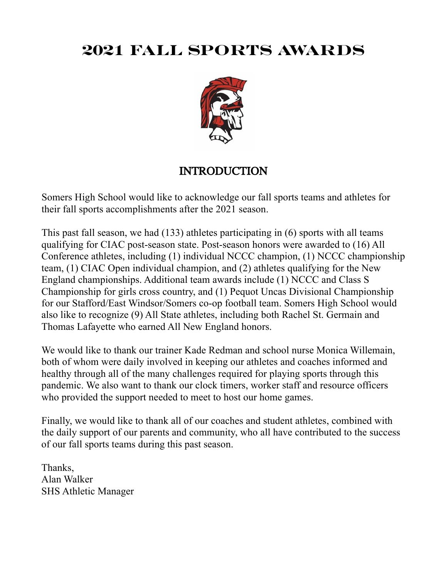# **2021 FALL SPORTS AWARDS**



## INTRODUCTION

Somers High School would like to acknowledge our fall sports teams and athletes for their fall sports accomplishments after the 2021 season.

This past fall season, we had (133) athletes participating in (6) sports with all teams qualifying for CIAC post-season state. Post-season honors were awarded to (16) All Conference athletes, including (1) individual NCCC champion, (1) NCCC championship team, (1) CIAC Open individual champion, and (2) athletes qualifying for the New England championships. Additional team awards include (1) NCCC and Class S Championship for girls cross country, and (1) Pequot Uncas Divisional Championship for our Stafford/East Windsor/Somers co-op football team. Somers High School would also like to recognize (9) All State athletes, including both Rachel St. Germain and Thomas Lafayette who earned All New England honors.

We would like to thank our trainer Kade Redman and school nurse Monica Willemain, both of whom were daily involved in keeping our athletes and coaches informed and healthy through all of the many challenges required for playing sports through this pandemic. We also want to thank our clock timers, worker staff and resource officers who provided the support needed to meet to host our home games.

Finally, we would like to thank all of our coaches and student athletes, combined with the daily support of our parents and community, who all have contributed to the success of our fall sports teams during this past season.

Thanks, Alan Walker SHS Athletic Manager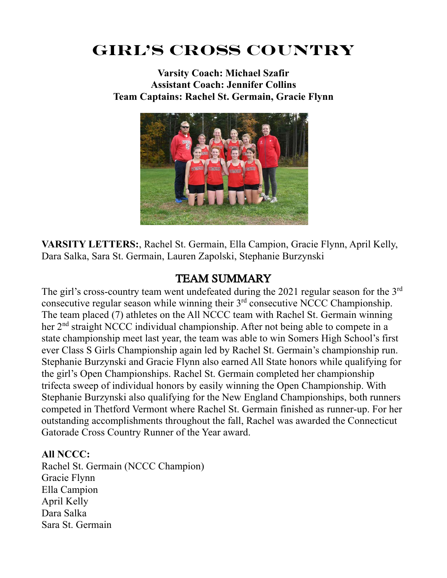# **Girl's CROSS COUNTRY**

**Varsity Coach: Michael Szafir Assistant Coach: Jennifer Collins Team Captains: Rachel St. Germain, Gracie Flynn**



**VARSITY LETTERS:**, Rachel St. Germain, Ella Campion, Gracie Flynn, April Kelly, Dara Salka, Sara St. Germain, Lauren Zapolski, Stephanie Burzynski

## TEAM SUMMARY

The girl's cross-country team went undefeated during the 2021 regular season for the  $3<sup>rd</sup>$ consecutive regular season while winning their 3<sup>rd</sup> consecutive NCCC Championship. The team placed (7) athletes on the All NCCC team with Rachel St. Germain winning her 2<sup>nd</sup> straight NCCC individual championship. After not being able to compete in a state championship meet last year, the team was able to win Somers High School's first ever Class S Girls Championship again led by Rachel St. Germain's championship run. Stephanie Burzynski and Gracie Flynn also earned All State honors while qualifying for the girl's Open Championships. Rachel St. Germain completed her championship trifecta sweep of individual honors by easily winning the Open Championship. With Stephanie Burzynski also qualifying for the New England Championships, both runners competed in Thetford Vermont where Rachel St. Germain finished as runner-up. For her outstanding accomplishments throughout the fall, Rachel was awarded the Connecticut Gatorade Cross Country Runner of the Year award.

### **All NCCC:**

Rachel St. Germain (NCCC Champion) Gracie Flynn Ella Campion April Kelly Dara Salka Sara St. Germain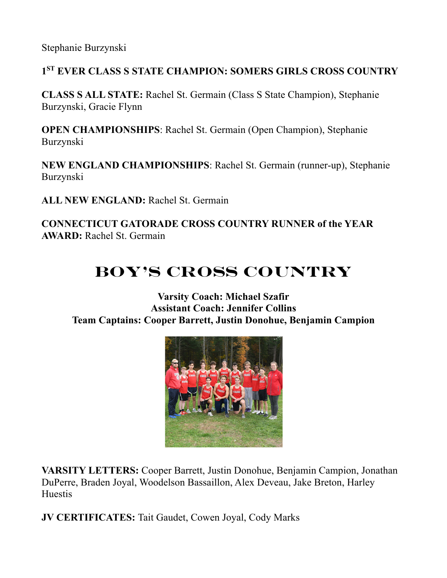Stephanie Burzynski

## **1ST EVER CLASS S STATE CHAMPION: SOMERS GIRLS CROSS COUNTRY**

**CLASS S ALL STATE:** Rachel St. Germain (Class S State Champion), Stephanie Burzynski, Gracie Flynn

**OPEN CHAMPIONSHIPS**: Rachel St. Germain (Open Champion), Stephanie Burzynski

**NEW ENGLAND CHAMPIONSHIPS**: Rachel St. Germain (runner-up), Stephanie Burzynski

**ALL NEW ENGLAND:** Rachel St. Germain

**CONNECTICUT GATORADE CROSS COUNTRY RUNNER of the YEAR AWARD:** Rachel St. Germain

# **BOY'S CROSS COUNTRY**

**Varsity Coach: Michael Szafir Assistant Coach: Jennifer Collins Team Captains: Cooper Barrett, Justin Donohue, Benjamin Campion**



**VARSITY LETTERS:** Cooper Barrett, Justin Donohue, Benjamin Campion, Jonathan DuPerre, Braden Joyal, Woodelson Bassaillon, Alex Deveau, Jake Breton, Harley Huestis

**JV CERTIFICATES:** Tait Gaudet, Cowen Joyal, Cody Marks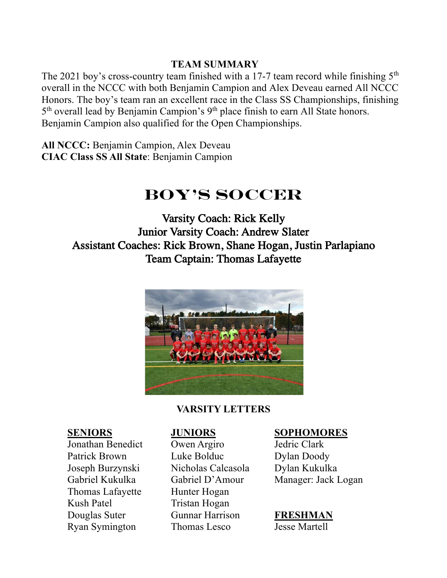### **TEAM SUMMARY**

The 2021 boy's cross-country team finished with a 17-7 team record while finishing  $5<sup>th</sup>$ overall in the NCCC with both Benjamin Campion and Alex Deveau earned All NCCC Honors. The boy's team ran an excellent race in the Class SS Championships, finishing 5<sup>th</sup> overall lead by Benjamin Campion's 9<sup>th</sup> place finish to earn All State honors. Benjamin Campion also qualified for the Open Championships.

**All NCCC:** Benjamin Campion, Alex Deveau **CIAC Class SS All State**: Benjamin Campion

# **BOY'S SOCCER**

Varsity Coach: Rick Kelly Junior Varsity Coach: Andrew Slater Assistant Coaches: Rick Brown, Shane Hogan, Justin Parlapiano Team Captain: Thomas Lafayette



### **VARSITY LETTERS**

Jonathan Benedict Owen Argiro Jedric Clark Patrick Brown Luke Bolduc Dylan Doody Joseph Burzynski Nicholas Calcasola Dylan Kukulka Thomas Lafayette Hunter Hogan Kush Patel Tristan Hogan Douglas Suter Gunnar Harrison **FRESHMAN** Ryan Symington Thomas Lesco Jesse Martell

### **SENIORS JUNIORS SOPHOMORES**

Gabriel Kukulka Gabriel D'Amour Manager: Jack Logan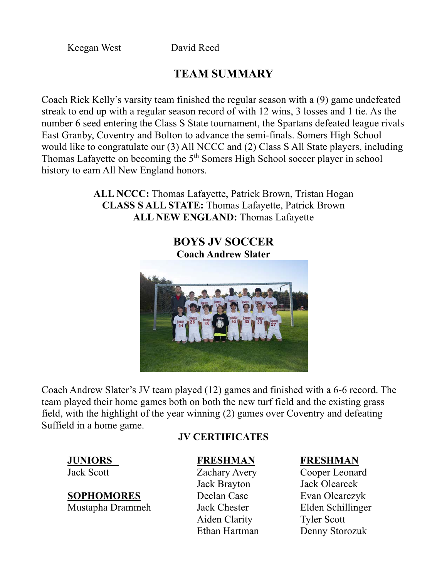Keegan West David Reed

## **TEAM SUMMARY**

Coach Rick Kelly's varsity team finished the regular season with a (9) game undefeated streak to end up with a regular season record of with 12 wins, 3 losses and 1 tie. As the number 6 seed entering the Class S State tournament, the Spartans defeated league rivals East Granby, Coventry and Bolton to advance the semi-finals. Somers High School would like to congratulate our (3) All NCCC and (2) Class S All State players, including Thomas Lafayette on becoming the 5<sup>th</sup> Somers High School soccer player in school history to earn All New England honors.

> **ALL NCCC:** Thomas Lafayette, Patrick Brown, Tristan Hogan **CLASS S ALL STATE:** Thomas Lafayette, Patrick Brown **ALL NEW ENGLAND:** Thomas Lafayette

## **BOYS JV SOCCER Coach Andrew Slater**



Coach Andrew Slater's JV team played (12) games and finished with a 6-6 record. The team played their home games both on both the new turf field and the existing grass field, with the highlight of the year winning (2) games over Coventry and defeating Suffield in a home game.

## **JV CERTIFICATES**

Jack Brayton Jack Olearcek Aiden Clarity Tyler Scott

## **JUNIORS FRESHMAN FRESHMAN**

Jack Scott Zachary Avery Cooper Leonard Ethan Hartman Denny Storozuk

**SOPHOMORES** Declan Case Evan Olearczyk Mustapha Drammeh Jack Chester Elden Schillinger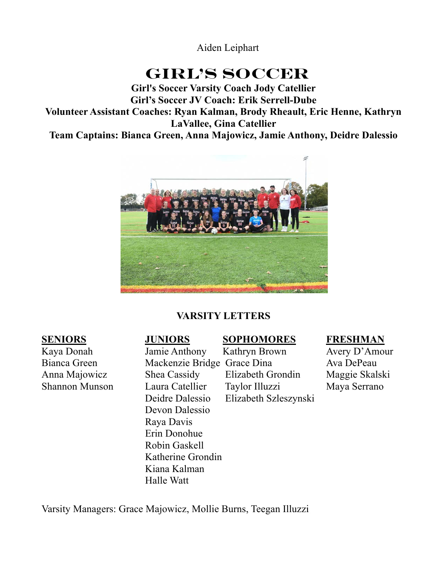Aiden Leiphart

# **GIRL'S SOCCER**

**Girl's Soccer Varsity Coach Jody Catellier Girl's Soccer JV Coach: Erik Serrell-Dube Volunteer Assistant Coaches: Ryan Kalman, Brody Rheault, Eric Henne, Kathryn LaVallee, Gina Catellier Team Captains: Bianca Green, Anna Majowicz, Jamie Anthony, Deidre Dalessio**



## **VARSITY LETTERS**

# Devon Dalessio Raya Davis Erin Donohue Robin Gaskell Katherine Grondin Kiana Kalman Halle Watt

### **SENIORS JUNIORS SOPHOMORES FRESHMAN**

Kaya Donah Jamie Anthony Kathryn Brown Avery D'Amour Bianca Green Mackenzie Bridge Grace Dina Ava DePeau Anna Majowicz Shea Cassidy Elizabeth Grondin Maggie Skalski Shannon Munson Laura Catellier Taylor Illuzzi Maya Serrano Deidre Dalessio Elizabeth Szleszynski

Varsity Managers: Grace Majowicz, Mollie Burns, Teegan Illuzzi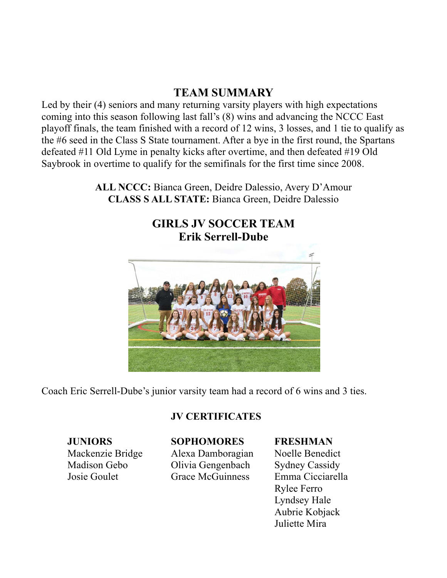## **TEAM SUMMARY**

Led by their (4) seniors and many returning varsity players with high expectations coming into this season following last fall's (8) wins and advancing the NCCC East playoff finals, the team finished with a record of 12 wins, 3 losses, and 1 tie to qualify as the #6 seed in the Class S State tournament. After a bye in the first round, the Spartans defeated #11 Old Lyme in penalty kicks after overtime, and then defeated #19 Old Saybrook in overtime to qualify for the semifinals for the first time since 2008.

> **ALL NCCC:** Bianca Green, Deidre Dalessio, Avery D'Amour **CLASS S ALL STATE:** Bianca Green, Deidre Dalessio

## **GIRLS JV SOCCER TEAM Erik Serrell-Dube**



Coach Eric Serrell-Dube's junior varsity team had a record of 6 wins and 3 ties.

### **JV CERTIFICATES**

## **JUNIORS SOPHOMORES FRESHMAN**

Mackenzie Bridge Alexa Damboragian Noelle Benedict Madison Gebo **Olivia Gengenbach** Sydney Cassidy Josie Goulet Grace McGuinness Emma Cicciarella

Rylee Ferro Lyndsey Hale Aubrie Kobjack Juliette Mira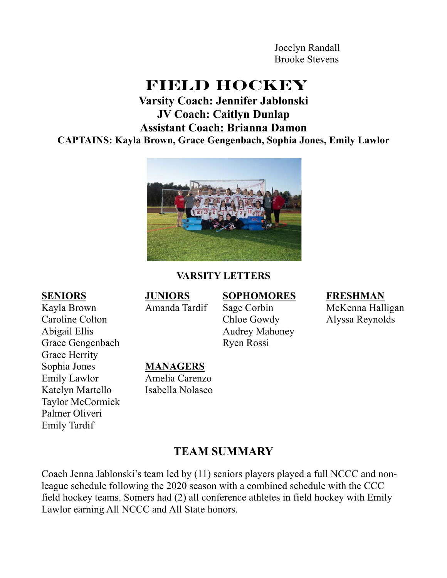Jocelyn Randall Brooke Stevens

# **FIELD HOCKEY**

## **Varsity Coach: Jennifer Jablonski JV Coach: Caitlyn Dunlap Assistant Coach: Brianna Damon CAPTAINS: Kayla Brown, Grace Gengenbach, Sophia Jones, Emily Lawlor**



### **VARSITY LETTERS**

Kayla Brown **Amanda Tardif** Sage Corbin McKenna Halligan Caroline Colton Chloe Gowdy Alyssa Reynolds Grace Herrity Taylor McCormick Palmer Oliveri Emily Tardif

### **SENIORS JUNIORS SOPHOMORES FRESHMAN**

# Abigail Ellis Audrey Mahoney Grace Gengenbach Ryen Rossi Sophia Jones **MANAGERS** Emily Lawlor Amelia Carenzo Katelyn Martello Isabella Nolasco

## **TEAM SUMMARY**

Coach Jenna Jablonski's team led by (11) seniors players played a full NCCC and nonleague schedule following the 2020 season with a combined schedule with the CCC field hockey teams. Somers had (2) all conference athletes in field hockey with Emily Lawlor earning All NCCC and All State honors.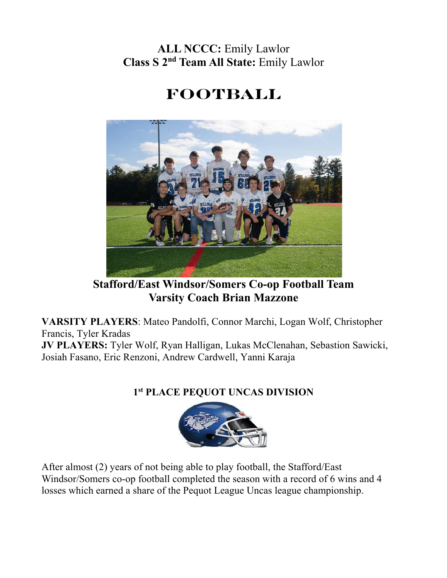## **ALL NCCC:** Emily Lawlor **Class S 2nd Team All State:** Emily Lawlor

# **FOOTBALL**



**Stafford/East Windsor/Somers Co-op Football Team Varsity Coach Brian Mazzone**

**VARSITY PLAYERS**: Mateo Pandolfi, Connor Marchi, Logan Wolf, Christopher Francis, Tyler Kradas **JV PLAYERS:** Tyler Wolf, Ryan Halligan, Lukas McClenahan, Sebastion Sawicki,

Josiah Fasano, Eric Renzoni, Andrew Cardwell, Yanni Karaja

## **1st PLACE PEQUOT UNCAS DIVISION**



After almost (2) years of not being able to play football, the Stafford/East Windsor/Somers co-op football completed the season with a record of 6 wins and 4 losses which earned a share of the Pequot League Uncas league championship.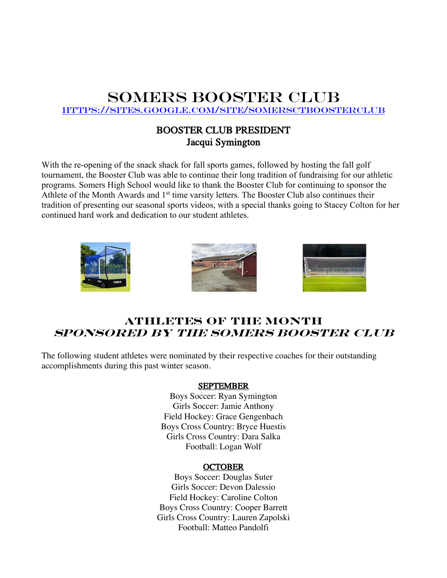## Somers BOOSTER CLUB

https://sites.google.com/site/somersctboosterclub

### BOOSTER CLUB PRESIDENT Jacqui Symington

With the re-opening of the snack shack for fall sports games, followed by hosting the fall golf tournament, the Booster Club was able to continue their long tradition of fundraising for our athletic programs. Somers High School would like to thank the Booster Club for continuing to sponsor the Athlete of the Month Awards and  $1<sup>st</sup>$  time varsity letters. The Booster Club also continues their tradition of presenting our seasonal sports videos, with a special thanks going to Stacey Colton for her continued hard work and dedication to our student athletes.







## **ATHLETES of the MONTH Sponsored by the Somers booster club**

The following student athletes were nominated by their respective coaches for their outstanding accomplishments during this past winter season.

### **SEPTEMBER**

Boys Soccer: Ryan Symington Girls Soccer: Jamie Anthony Field Hockey: Grace Gengenbach Boys Cross Country: Bryce Huestis Girls Cross Country: Dara Salka Football: Logan Wolf

### **OCTOBER**

Boys Soccer: Douglas Suter Girls Soccer: Devon Dalessio Field Hockey: Caroline Colton Boys Cross Country: Cooper Barrett Girls Cross Country: Lauren Zapolski Football: Matteo Pandolfi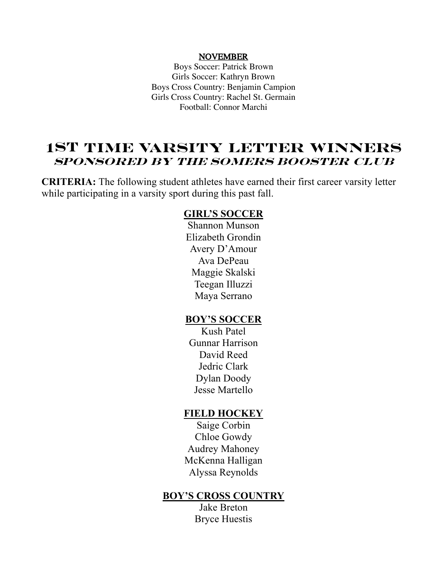### NOVEMBER

Boys Soccer: Patrick Brown Girls Soccer: Kathryn Brown Boys Cross Country: Benjamin Campion Girls Cross Country: Rachel St. Germain Football: Connor Marchi

## **1st TIME VARSITY LETTER WINNERS SPONSORED BY THE SOMERS BOOSTER CLUB**

**CRITERIA:** The following student athletes have earned their first career varsity letter while participating in a varsity sport during this past fall.

### **GIRL'S SOCCER**

Shannon Munson Elizabeth Grondin Avery D'Amour Ava DePeau Maggie Skalski Teegan Illuzzi Maya Serrano

### **BOY'S SOCCER**

Kush Patel Gunnar Harrison David Reed Jedric Clark Dylan Doody Jesse Martello

### **FIELD HOCKEY**

Saige Corbin Chloe Gowdy Audrey Mahoney McKenna Halligan Alyssa Reynolds

### **BOY'S CROSS COUNTRY**

Jake Breton Bryce Huestis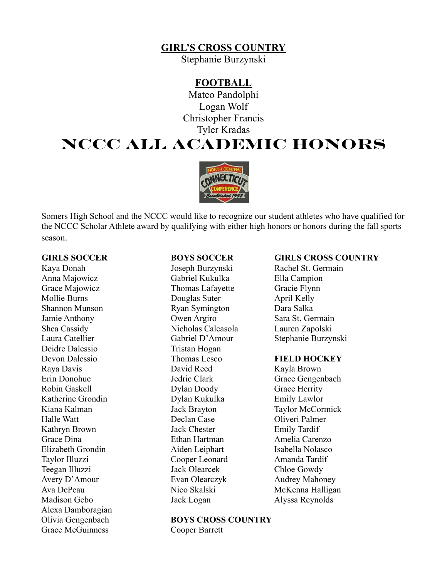### **GIRL'S CROSS COUNTRY**

Stephanie Burzynski

### **FOOTBALL**

Mateo Pandolphi Logan Wolf Christopher Francis Tyler Kradas

# **NCCC ALL ACADEMIC HONORS**



Somers High School and the NCCC would like to recognize our student athletes who have qualified for the NCCC Scholar Athlete award by qualifying with either high honors or honors during the fall sports season.

Anna Majowicz Gabriel Kukulka Ella Campion Grace Majowicz Thomas Lafayette Gracie Flynn Mollie Burns **Douglas Suter** April Kelly Shannon Munson Ryan Symington Dara Salka Jamie Anthony Owen Argiro Sara St. Germain Shea Cassidy Nicholas Calcasola Lauren Zapolski Deidre Dalessio Tristan Hogan Devon Dalessio Thomas Lesco **FIELD HOCKEY** Raya Davis David Reed Kayla Brown Erin Donohue Jedric Clark Grace Gengenbach Robin Gaskell **Dylan Doody** Grace Herrity Katherine Grondin Dylan Kukulka Emily Lawlor Halle Watt Declan Case Oliveri Palmer Kathryn Brown Jack Chester Emily Tardif Grace Dina Ethan Hartman Amelia Carenzo Elizabeth Grondin **Aiden Leiphart** Isabella Nolasco Taylor Illuzzi Cooper Leonard Amanda Tardif Teegan Illuzzi Jack Olearcek Chloe Gowdy Avery D'Amour Evan Olearczyk Audrey Mahoney Ava DePeau Nico Skalski McKenna Halligan Madison Gebo Jack Logan Alyssa Reynolds Alexa Damboragian Grace McGuinness Cooper Barrett

# Olivia Gengenbach **BOYS CROSS COUNTRY**

### **GIRLS SOCCER BOYS SOCCER GIRLS CROSS COUNTRY**

Kaya Donah  $Joseph Burzynski$  Rachel St. Germain Laura Catellier Gabriel D'Amour Stephanie Burzynski

Kiana Kalman Jack Brayton Taylor McCormick